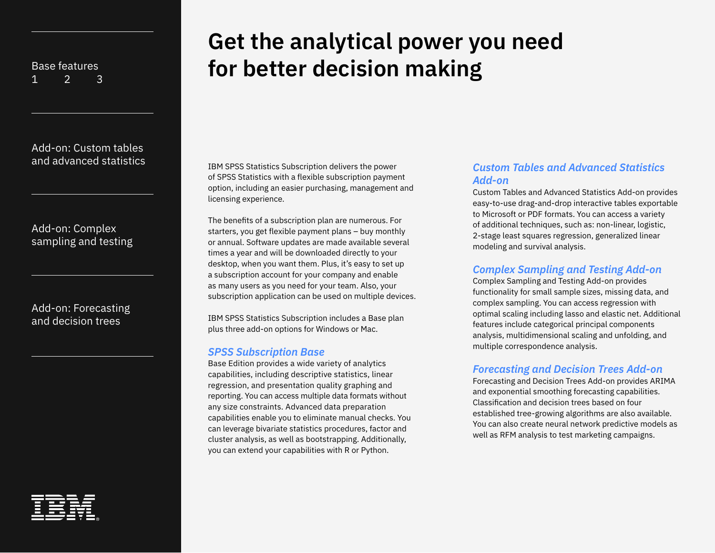[Add-on: Custom tables](#page-5-0) 

[Add-on: Complex](#page-6-0)  [sampling and testing](#page-6-0)

[Add-on: Forecasting](#page-7-0)  [and decision trees](#page-7-0)



# **Get the analytical power you need for better decision making**

[and advanced statistics](#page-5-0) **IBM SPSS Statistics Subscription delivers the power** of SPSS Statistics with a flexible subscription payment option, including an easier purchasing, management and licensing experience.

> The benefits of a subscription plan are numerous. For starters, you get flexible payment plans – buy monthly or annual. Software updates are made available several times a year and will be downloaded directly to your desktop, when you want them. Plus, it's easy to set up a subscription account for your company and enable as many users as you need for your team. Also, your subscription application can be used on multiple devices.

IBM SPSS Statistics Subscription includes a Base plan plus three add-on options for Windows or Mac.

#### *SPSS Subscription Base*

Base Edition provides a wide variety of analytics capabilities, including descriptive statistics, linear regression, and presentation quality graphing and reporting. You can access multiple data formats without any size constraints. Advanced data preparation capabilities enable you to eliminate manual checks. You can leverage bivariate statistics procedures, factor and cluster analysis, as well as bootstrapping. Additionally, you can extend your capabilities with R or Python.

## *Custom Tables and Advanced Statistics Add-on*

Custom Tables and Advanced Statistics Add-on provides easy-to-use drag-and-drop interactive tables exportable to Microsoft or PDF formats. You can access a variety of additional techniques, such as: non-linear, logistic, 2-stage least squares regression, generalized linear modeling and survival analysis.

## *Complex Sampling and Testing Add-on*

Complex Sampling and Testing Add-on provides functionality for small sample sizes, missing data, and complex sampling. You can access regression with optimal scaling including lasso and elastic net. Additional features include categorical principal components analysis, multidimensional scaling and unfolding, and multiple correspondence analysis.

#### *Forecasting and Decision Trees Add-on*

Forecasting and Decision Trees Add-on provides ARIMA and exponential smoothing forecasting capabilities. Classification and decision trees based on four established tree-growing algorithms are also available. You can also create neural network predictive models as well as RFM analysis to test marketing campaigns.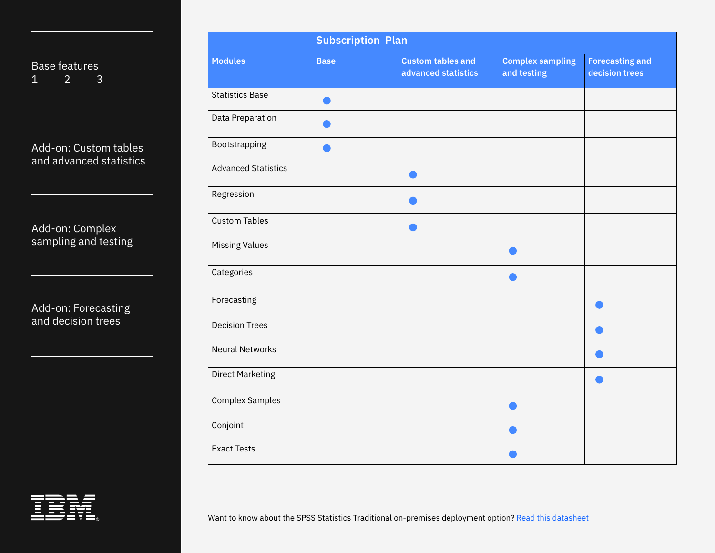[Add-on: Custom tables](#page-5-0)  [and advanced statistics](#page-5-0)

[Add-on: Complex](#page-6-0)  [sampling and testing](#page-6-0)

[Add-on: Forecasting](#page-7-0)  [and decision trees](#page-7-0)

|                            |             | <b>Subscription Plan</b>                        |                                        |                                          |  |  |
|----------------------------|-------------|-------------------------------------------------|----------------------------------------|------------------------------------------|--|--|
| <b>Modules</b>             | <b>Base</b> | <b>Custom tables and</b><br>advanced statistics | <b>Complex sampling</b><br>and testing | <b>Forecasting and</b><br>decision trees |  |  |
| <b>Statistics Base</b>     |             |                                                 |                                        |                                          |  |  |
| Data Preparation           |             |                                                 |                                        |                                          |  |  |
| Bootstrapping              |             |                                                 |                                        |                                          |  |  |
| <b>Advanced Statistics</b> |             |                                                 |                                        |                                          |  |  |
| Regression                 |             |                                                 |                                        |                                          |  |  |
| <b>Custom Tables</b>       |             |                                                 |                                        |                                          |  |  |
| <b>Missing Values</b>      |             |                                                 |                                        |                                          |  |  |
| Categories                 |             |                                                 |                                        |                                          |  |  |
| Forecasting                |             |                                                 |                                        |                                          |  |  |
| <b>Decision Trees</b>      |             |                                                 |                                        |                                          |  |  |
| <b>Neural Networks</b>     |             |                                                 |                                        |                                          |  |  |
| <b>Direct Marketing</b>    |             |                                                 |                                        |                                          |  |  |
| <b>Complex Samples</b>     |             |                                                 |                                        |                                          |  |  |
| Conjoint                   |             |                                                 |                                        |                                          |  |  |
| <b>Exact Tests</b>         |             |                                                 |                                        |                                          |  |  |

Want to know about the SPSS Statistics Traditional on-premises deployment option? [Read this datasheet](https://www.ibm.com/downloads/cas/ERYRD6G5)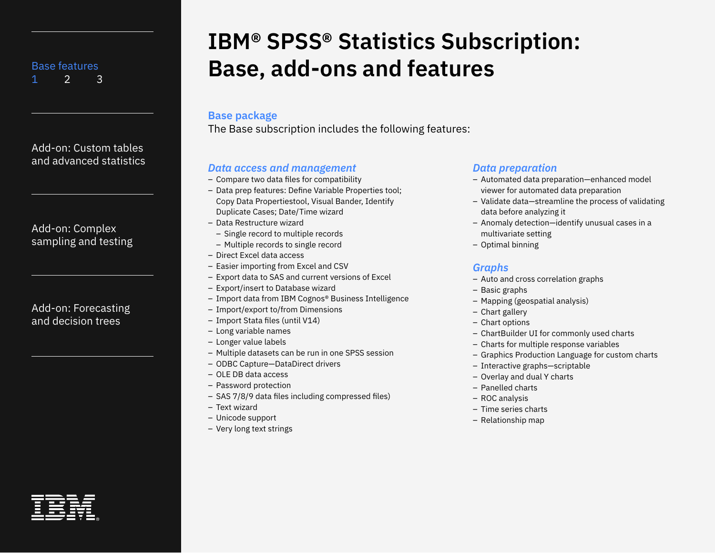<span id="page-2-0"></span>[Add-on: Custom tables](#page-5-0)  [and advanced statistics](#page-5-0)

[Add-on: Complex](#page-6-0)  [sampling and testing](#page-6-0)

| Add-on: Forecasting |
|---------------------|
| and decision trees  |

# **IBM® SPSS® Statistics Subscription: Base, add-ons and features**

### **Base package**

The Base subscription includes the following features:

## *Data access and management*

- Compare two data files for compatibility
- Data prep features: Define Variable Properties tool; Copy Data Propertiestool, Visual Bander, Identify Duplicate Cases; Date/Time wizard
- Data Restructure wizard
	- Single record to multiple records
	- Multiple records to single record
- Direct Excel data access
- Easier importing from Excel and CSV
- Export data to SAS and current versions of Excel
- Export/insert to Database wizard
- Import data from IBM Cognos® Business Intelligence
- Import/export to/from Dimensions
- Import Stata files (until V14)
- Long variable names
- Longer value labels
- Multiple datasets can be run in one SPSS session
- ODBC Capture—DataDirect drivers
- OLE DB data access
- Password protection
- SAS 7/8/9 data files including compressed files)
- Text wizard
- Unicode support
- Very long text strings

## *Data preparation*

- Automated data preparation—enhanced model viewer for automated data preparation
- Validate data—streamline the process of validating data before analyzing it
- Anomaly detection—identify unusual cases in a multivariate setting
- Optimal binning

## *Graphs*

- Auto and cross correlation graphs
- Basic graphs
- Mapping (geospatial analysis)
- Chart gallery
- Chart options
- ChartBuilder UI for commonly used charts
- Charts for multiple response variables
- Graphics Production Language for custom charts
- Interactive graphs—scriptable
- Overlay and dual Y charts
- Panelled charts
- ROC analysis
- Time series charts
- Relationship map

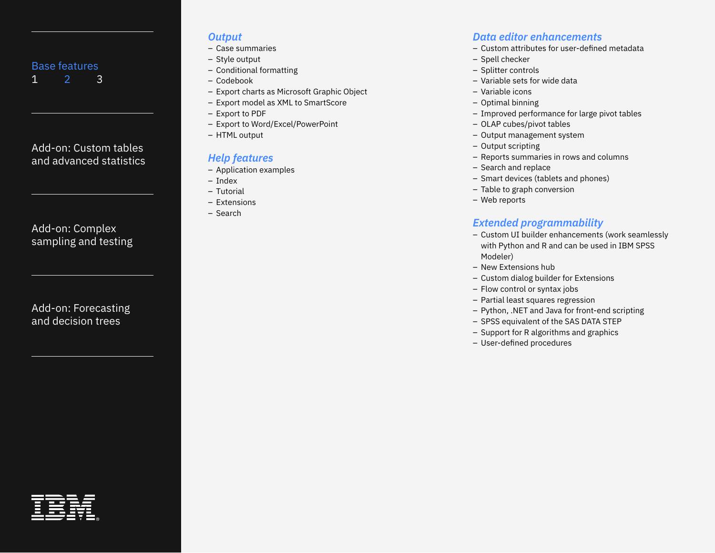<span id="page-3-0"></span>[Add-on: Custom tables](#page-5-0)  [and advanced statistics](#page-5-0)

[Add-on: Complex](#page-6-0)  [sampling and testing](#page-6-0)

[Add-on: Forecasting](#page-7-0)  [and decision trees](#page-7-0)

## *Output*

- Case summaries
- Style output
- Conditional formatting
- Codebook
- Export charts as Microsoft Graphic Object
- Export model as XML to SmartScore
- Export to PDF
- Export to Word/Excel/PowerPoint
- HTML output

# *Help features*

- Application examples
- Index
- Tutorial
- Extensions
- Search

# *Data editor enhancements*

- Custom attributes for user-defined metadata
- Spell checker
- Splitter controls
- Variable sets for wide data
- Variable icons
- Optimal binning
- Improved performance for large pivot tables
- OLAP cubes/pivot tables
- Output management system
- Output scripting
- Reports summaries in rows and columns
- Search and replace
- Smart devices (tablets and phones)
- Table to graph conversion
- Web reports

# *Extended programmability*

- Custom UI builder enhancements (work seamlessly with Python and R and can be used in IBM SPSS Modeler)
- New Extensions hub
- Custom dialog builder for Extensions
- Flow control or syntax jobs
- Partial least squares regression
- Python, .NET and Java for front-end scripting
- SPSS equivalent of the SAS DATA STEP
- Support for R algorithms and graphics
- User-defined procedures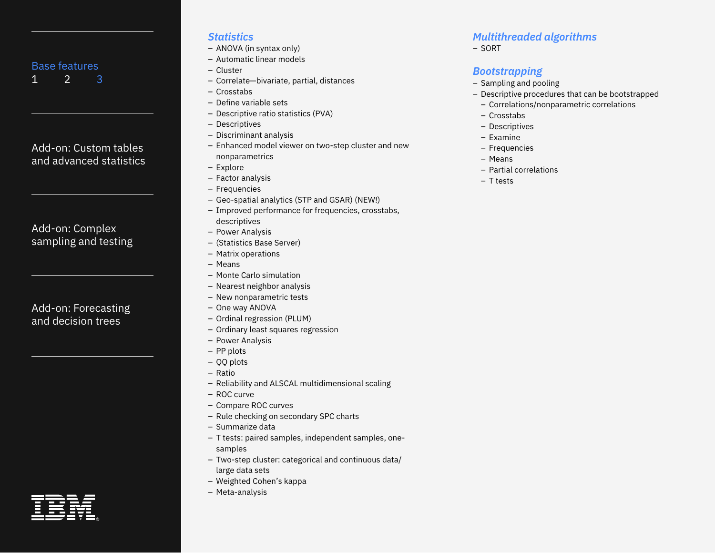# <span id="page-4-0"></span>[Add-on: Custom tables](#page-5-0)  [and advanced statistics](#page-5-0)

# [Add-on: Complex](#page-6-0)  [sampling and testing](#page-6-0)

# [Add-on: Forecasting](#page-7-0)  [and decision trees](#page-7-0)

### *Statistics*

- ANOVA (in syntax only)
- Automatic linear models
- Cluster
- Correlate—bivariate, partial, distances
- Crosstabs
- Define variable sets
- Descriptive ratio statistics (PVA)
- Descriptives
- Discriminant analysis
- Enhanced model viewer on two-step cluster and new nonparametrics
- Explore
- Factor analysis
- Frequencies
- Geo-spatial analytics (STP and GSAR) (NEW!)
- Improved performance for frequencies, crosstabs, descriptives
- Power Analysis
- (Statistics Base Server)
- Matrix operations
- Means
- Monte Carlo simulation
- Nearest neighbor analysis
- New nonparametric tests
- One way ANOVA
- Ordinal regression (PLUM)
- Ordinary least squares regression
- Power Analysis
- PP plots
- QQ plots
- Ratio
- Reliability and ALSCAL multidimensional scaling
- ROC curve
- Compare ROC curves
- Rule checking on secondary SPC charts
- Summarize data
- T tests: paired samples, independent samples, onesamples
- Two-step cluster: categorical and continuous data/ large data sets
- Weighted Cohen's kappa
- Meta-analysis

# *Multithreaded algorithms*

– SORT

# *Bootstrapping*

- Sampling and pooling
- Descriptive procedures that can be bootstrapped
	- Correlations/nonparametric correlations
	- Crosstabs
	- Descriptives
	- Examine
	- Frequencies
- Means
- Partial correlations
- T tests

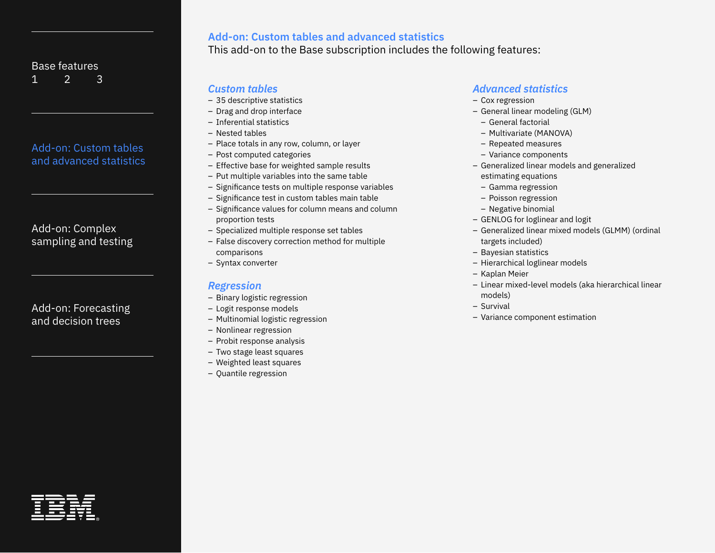# <span id="page-5-0"></span>Add-on: Custom tables and advanced statistics

[Add-on: Complex](#page-6-0)  [sampling and testing](#page-6-0)

[Add-on: Forecasting](#page-7-0)  [and decision trees](#page-7-0)

# **Add-on: Custom tables and advanced statistics**

This add-on to the Base subscription includes the following features:

## *Custom tables*

- 35 descriptive statistics
- Drag and drop interface
- Inferential statistics
- Nested tables
- Place totals in any row, column, or layer
- Post computed categories
- Effective base for weighted sample results
- Put multiple variables into the same table
- Significance tests on multiple response variables
- Significance test in custom tables main table
- Significance values for column means and column proportion tests
- Specialized multiple response set tables
- False discovery correction method for multiple comparisons
- Syntax converter

## *Regression*

- Binary logistic regression
- Logit response models
- Multinomial logistic regression
- Nonlinear regression
- Probit response analysis
- Two stage least squares
- Weighted least squares
- Quantile regression

### *Advanced statistics*

- Cox regression
- General linear modeling (GLM)
	- General factorial
	- Multivariate (MANOVA)
- Repeated measures
- Variance components
- Generalized linear models and generalized estimating equations
	- Gamma regression
	- Poisson regression
- Negative binomial
- GENLOG for loglinear and logit
- Generalized linear mixed models (GLMM) (ordinal targets included)
- Bayesian statistics
- Hierarchical loglinear models
- Kaplan Meier
- Linear mixed-level models (aka hierarchical linear models)
- Survival
- Variance component estimation

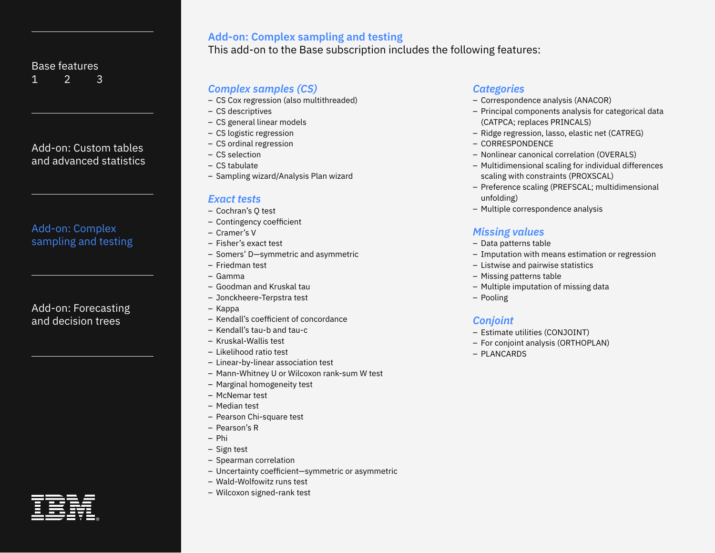# <span id="page-6-0"></span>[Add-on: Custom tables](#page-5-0)  [and advanced statistics](#page-5-0)

# Add-on: Complex sampling and testing

## [Add-on: Forecasting](#page-7-0)  [and decision trees](#page-7-0)

## **Add-on: Complex sampling and testing**

This add-on to the Base subscription includes the following features:

## *Complex samples (CS)*

- CS Cox regression (also multithreaded)
- CS descriptives
- CS general linear models
- CS logistic regression
- CS ordinal regression
- CS selection
- CS tabulate
- Sampling wizard/Analysis Plan wizard

## *Exact tests*

- Cochran's Q test
- Contingency coefficient
- Cramer's V
- Fisher's exact test
- Somers' D—symmetric and asymmetric
- Friedman test
- Gamma
- Goodman and Kruskal tau
- Jonckheere-Terpstra test
- Kappa
- Kendall's coefficient of concordance
- Kendall's tau-b and tau-c
- Kruskal-Wallis test
- Likelihood ratio test
- Linear-by-linear association test
- Mann-Whitney U or Wilcoxon rank-sum W test
- Marginal homogeneity test
- McNemar test
- Median test
- Pearson Chi-square test
- Pearson's R
- Phi
- Sign test
- Spearman correlation
- Uncertainty coefficient—symmetric or asymmetric
- Wald-Wolfowitz runs test
- Wilcoxon signed-rank test

## *Categories*

- Correspondence analysis (ANACOR)
- Principal components analysis for categorical data (CATPCA; replaces PRINCALS)
- Ridge regression, lasso, elastic net (CATREG)
- CORRESPONDENCE
- Nonlinear canonical correlation (OVERALS)
- Multidimensional scaling for individual differences scaling with constraints (PROXSCAL)
- Preference scaling (PREFSCAL; multidimensional unfolding)
- Multiple correspondence analysis

# *Missing values*

- Data patterns table
- Imputation with means estimation or regression
- Listwise and pairwise statistics
- Missing patterns table
- Multiple imputation of missing data
- Pooling

## *Conjoint*

- Estimate utilities (CONJOINT)
- For conjoint analysis (ORTHOPLAN)
- PLANCARDS

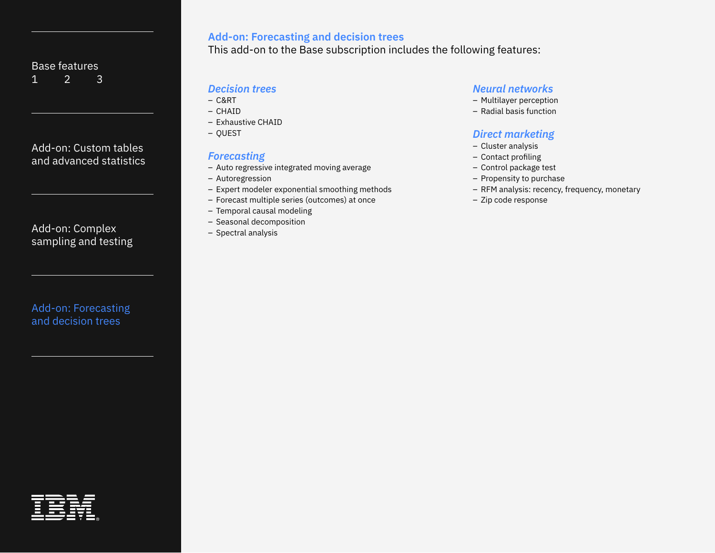<span id="page-7-0"></span>[Add-on: Custom tables](#page-5-0)  [and advanced statistics](#page-5-0)

[Add-on: Complex](#page-6-0)  [sampling and testing](#page-6-0)

Add-on: Forecasting and decision trees

## **Add-on: Forecasting and decision trees**

This add-on to the Base subscription includes the following features:

## *Decision trees*

- C&RT
- CHAID
- Exhaustive CHAID
- QUEST

# *Forecasting*

- Auto regressive integrated moving average
- Autoregression
- Expert modeler exponential smoothing methods
- Forecast multiple series (outcomes) at once
- Temporal causal modeling
- Seasonal decomposition
- Spectral analysis

## *Neural networks*

- Multilayer perception
- Radial basis function

## *Direct marketing*

- Cluster analysis
- Contact profiling
- Control package test
- Propensity to purchase
- RFM analysis: recency, frequency, monetary
- Zip code response